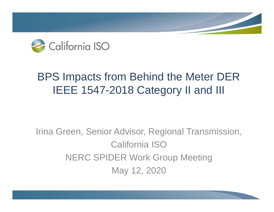

# BPS Impacts from Behind the Meter DER IEEE 1547-2018 Category II and III

Irina Green, Senior Advisor, Regional Transmission, California ISONERC SPIDER Work Group Meeting May 12, 2020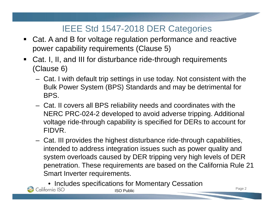# IEEE Std 1547-2018 DER Categories

- $\blacksquare$  Cat. A and B for voltage regulation performance and reactive power capability requirements (Clause 5)
- $\blacksquare$  Cat. I, II, and III for disturbance ride-through requirements (Clause 6)
	- Cat. I with default trip settings in use today. Not consistent with the Bulk Power System (BPS) Standards and may be detrimental for BPS.
	- Cat. II covers all BPS reliability needs and coordinates with the NERC PRC-024-2 developed to avoid adverse tripping. Additional voltage ride-through capability is specified for DERs to account for FIDVR.
	- Cat. III provides the highest disturbance ride-through capabilities, intended to address integration issues such as power quality and system overloads caused by DER tripping very high levels of DER penetration. These requirements are based on the California Rule 21 Smart Inverter requirements.
		- Includes specifications for Momentary Cessation

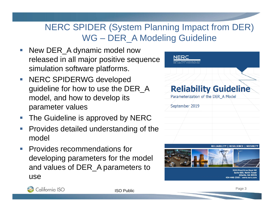# NERC SPIDER (System Planning Impact from DER) WG – DER\_A Modeling Guideline

- $\mathbb{R}^n$  New DER\_A dynamic model now released in all major positive sequence simulation software platforms.
- $\mathcal{L}_{\mathcal{A}}$  NERC SPIDERWG developed guideline for how to use the DER\_A model, and how to develop its parameter values
- F The Guideline is approved by NERC
- $\Box$  Provides detailed understanding of the model
- $\mathcal{L}_{\mathcal{A}}$  Provides recommendations for developing parameters for the model and values of DER\_A parameters to use



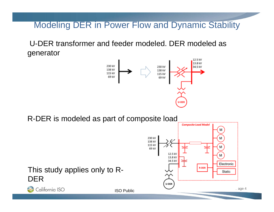#### Modeling DER in Power Flow and Dynamic Stability

U-DER transformer and feeder modeled. DER modeled as generator



R-DER is modeled as part of composite load

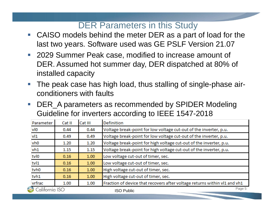# DER Parameters in this Study

- $\overline{\phantom{a}}$  CAISO models behind the meter DER as a part of load for the last two years. Software used was GE PSLF Version 21.07
- 2029 Summer Peak case, modified to increase amount of DER. Assumed hot summer day, DER dispatched at 80% of installed capacity
- e<br>S The peak case has high load, thus stalling of single-phase airconditioners with faults
- $\mathcal{L}_{\mathcal{A}}$  DER\_A parameters as recommended by SPIDER Modeling Guideline for inverters according to IEEE 1547-2018

| Parameter       | Cat II         | Cat III | <b>Definition</b>                                                         |
|-----------------|----------------|---------|---------------------------------------------------------------------------|
| vlo             | 0.44           | 0.44    | Voltage break-point for low voltage cut-out of the inverter, p.u.         |
| v11             | 0.49           | 0.49    | Voltage break-point for low voltage cut-out of the inverter, p.u.         |
| vh <sub>0</sub> | 1.20           | 1.20    | Voltage break-point for high voltage cut-out of the inverter, p.u.        |
| vh1             | 1.15           | 1.15    | Voltage break-point for high voltage cut-out of the inverter, p.u.        |
| tvl0            | 0.16           | 1.00    | Low voltage cut-out of timer, sec.                                        |
| tvl1            | 0.16           | 1.00    | Low voltage cut-out of timer, sec.                                        |
| tvh0            | 0.16           | 1.00    | High voltage cut-out of timer, sec.                                       |
| tvh1            | 0.16           | 1.00    | High voltage cut-out of timer, sec.                                       |
| vrfrac          | 1.00           | 1.00    | Fraction of device that recovers after voltage returns within vl1 and vh1 |
|                 | California ISO |         | Page 5<br><b>ISO Public</b>                                               |
|                 |                |         |                                                                           |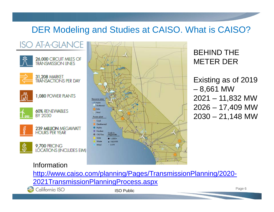## DER Modeling and Studies at CAISO. What is CAISO?



#### BEHIND THE METER DER

Existing as of 2019 – 8,661 MW 2021 – 11,832 MW 2026 – 17,409 MW  $2030 - 21,148$  MW

#### Information

http://www.caiso.com/planning/Pages/TransmissionPlanning/2020- 2021TransmissionPlanningProcess.aspx

California ISO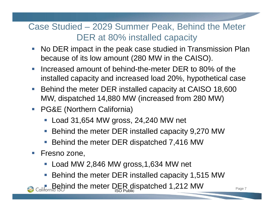# Case Studied – 2029 Summer Peak, Behind the Meter DER at 80% installed capacity

- $\overline{\mathbb{R}^2}$  No DER impact in the peak case studied in Transmission Plan because of its low amount (280 MW in the CAISO).
- $\sim$  Increased amount of behind-the-meter DER to 80% of the installed capacity and increased load 20%, hypothetical case
- Behind the meter DER installed capacity at CAISO 18,600 MW, dispatched 14,880 MW (increased from 280 MW)
- **PG&E (Northern California)** 
	- Load 31,654 MW gross, 24,240 MW net
	- Behind the meter DER installed capacity 9,270 MW
	- F Behind the meter DER dispatched 7,416 MW
- $\mathcal{L}_{\mathcal{A}}$  Fresno zone,
	- Load MW 2,846 MW gross,1,634 MW net
	- F Behind the meter DER installed capacity 1,515 MW
	- **Property DER dispatched 1,212 MW** Page 7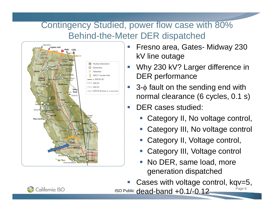# Contingency Studied, power flow case with 80% Behind-the-Meter DER dispatched



- e<br>S Fresno area, Gates- Midway 230 kV line outage
- Why 230 kV? Larger difference in DER performance
- $3-\phi$  fault on the sending end with normal clearance (6 cycles, 0.1 s)
- e<br>S DER cases studied:
	- e<br>S Category II, No voltage control,
	- e<br>S Category III, No voltage control
	- e<br>S Category II, Voltage control,
	- e<br>S Category III, Voltage control
	- e<br>S No DER, same load, more generation dispatched

ISO Public  $dead$ -band  $+0.1/-0.12$  Page 8 e<br>S Cases with voltage control, kqv=5,

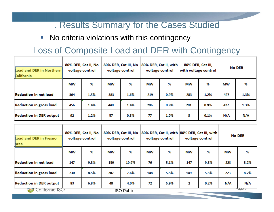#### . Results Summary for the Cases Studied

**No criteria violations with this contingency** 

## Loss of Composite Load and DER with Contingency

| Load and DER in Northern<br>California | 80% DER, Cat II, No<br>voltage control |      | 80% DER, Cat III, No<br>voltage control |         | 80% DER, Cat II, with<br>voltage control |      | 80% DER, Cat III,<br>with voltage control |      | <b>No DER</b> |      |
|----------------------------------------|----------------------------------------|------|-----------------------------------------|---------|------------------------------------------|------|-------------------------------------------|------|---------------|------|
|                                        | МW                                     | %    | МW                                      | %       | МW                                       | %    | МW                                        | ℅    | МW            | %    |
| <b>Reduction in net load</b>           | 364                                    | 1.5% | 383                                     | 1.6%    | 219                                      | 0.9% | 283                                       | 1.2% | 427           | 1.3% |
| <b>Reduction in gross load</b>         | 456                                    | 1.4% | 440                                     | 1.4%    | 296                                      | 0.9% | 291                                       | 0.9% | 427           | 1.3% |
| <b>Reduction in DER output</b>         | 92                                     | 1.2% | 57                                      | $0.8\%$ | 77                                       | 1.0% | 8                                         | 0.1% | N/A           | N/A  |

| Load and DER in Fresno<br>area | 80% DER, Cat II, No<br>voltage control |      | 80% DER, Cat III, No<br>voltage control |       | voltage control |      | 80% DER, Cat II, with 80% DER, Cat III, with<br>voltage control |      | <b>No DER</b> |      |
|--------------------------------|----------------------------------------|------|-----------------------------------------|-------|-----------------|------|-----------------------------------------------------------------|------|---------------|------|
|                                | МW                                     | %    | МW                                      | %     | МW              | %    | МW                                                              | ℅    | МW            | ℅    |
| <b>Reduction in net load</b>   | 147                                    | 9.8% | 159                                     | 10.6% | 76              | 5.1% | 147                                                             | 9.8% | 223           | 8.2% |
| <b>Reduction in gross load</b> | 230                                    | 8.5% | 207                                     | 7.6%  | 148             | 5.5% | 149                                                             | 5.5% | 223           | 8.2% |
| <b>Reduction in DER output</b> | 83                                     | 6.8% | 48                                      | 4.0%  | 72              | 5.9% | $\overline{2}$                                                  | 0.2% | N/A           | N/A  |
| California ISO                 |                                        |      | <b>ISO Public</b>                       |       |                 |      |                                                                 |      | Page a        |      |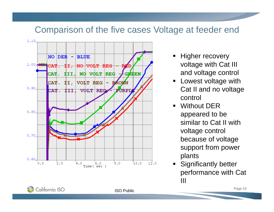### Comparison of the five cases Voltage at feeder end



- **Higher recovery** voltage with Cat III and voltage control
- **E** Lowest voltage with Cat II and no voltage control
- Without DER appeared to be similar to Cat II with voltage control because of voltage support from power plants
- **Significantly better** performance with Cat III

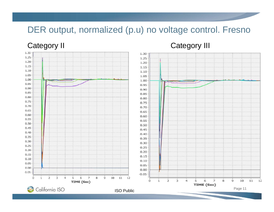## DER output, normalized (p.u) no voltage control. Fresno



#### Category II Category III

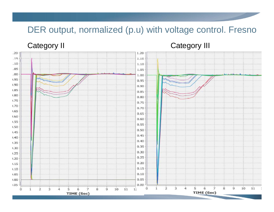## DER output, normalized (p.u) with voltage control. Fresno

Category II Category III

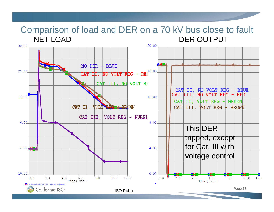#### Comparison of load and DER on a 70 kV bus close to fault NET LOAD DER OUTPUT

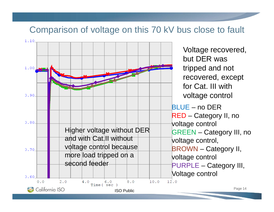#### Comparison of voltage on this 70 kV bus close to fault

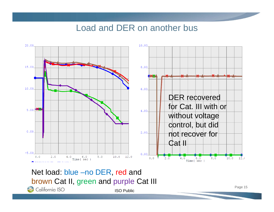#### Load and DER on another bus



Net load: blue –no DER, red and brown Cat II, green and purple Cat IIICalifornia ISO ISO Public

Page 15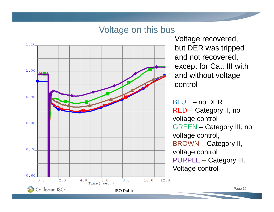#### Voltage on this bus



Voltage recovered, but DER was tripped and not recovered, except for Cat. III with and without voltage control

BLUE – no DERRED – Category II, no voltage control GREEN – Category III, no voltage control, BROWN – Category II, voltage control PURPLE – Category III, Voltage control

Page 16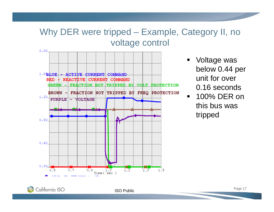# Why DER were tripped – Example, Category II, no voltage control



- Voltage was below 0.44 per unit for over 0.16 seconds
- $\blacksquare$  100% DER on this bus was tripped

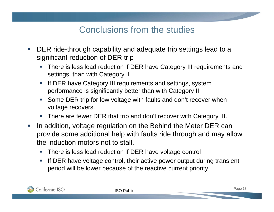# Conclusions from the studies

- $\mathcal{L}_{\mathcal{A}}$  DER ride-through capability and adequate trip settings lead to a significant reduction of DER trip
	- There is less load reduction if DER have Category III requirements and settings, than with Category II
	- П If DER have Category III requirements and settings, system performance is significantly better than with Category II.
	- Some DER trip for low voltage with faults and don't recover when voltage recovers.
	- There are fewer DER that trip and don't recover with Category III.
- $\overline{\phantom{a}}$  In addition, voltage regulation on the Behind the Meter DER can provide some additional help with faults ride through and may allow the induction motors not to stall.
	- **There is less load reduction if DER have voltage control**
	- $\mathcal{L}_{\mathcal{A}}$  If DER have voltage control, their active power output during transient period will be lower because of the reactive current priority